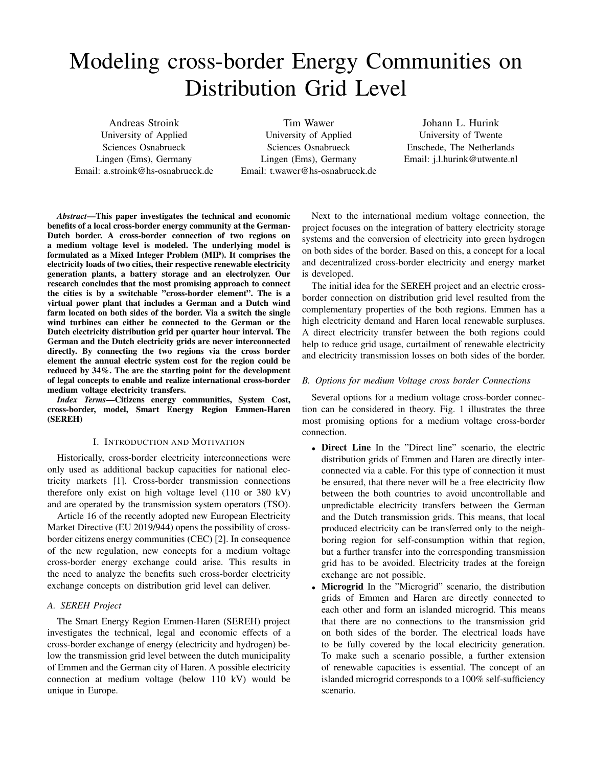# Modeling cross-border Energy Communities on Distribution Grid Level

Andreas Stroink University of Applied Sciences Osnabrueck Lingen (Ems), Germany Email: a.stroink@hs-osnabrueck.de

Tim Wawer University of Applied Sciences Osnabrueck Lingen (Ems), Germany Email: t.wawer@hs-osnabrueck.de

Johann L. Hurink University of Twente Enschede, The Netherlands Email: j.l.hurink@utwente.nl

*Abstract*—This paper investigates the technical and economic benefits of a local cross-border energy community at the German-Dutch border. A cross-border connection of two regions on a medium voltage level is modeled. The underlying model is formulated as a Mixed Integer Problem (MIP). It comprises the electricity loads of two cities, their respective renewable electricity generation plants, a battery storage and an electrolyzer. Our research concludes that the most promising approach to connect the cities is by a switchable "cross-border element". The is a virtual power plant that includes a German and a Dutch wind farm located on both sides of the border. Via a switch the single wind turbines can either be connected to the German or the Dutch electricity distribution grid per quarter hour interval. The German and the Dutch electricity grids are never interconnected directly. By connecting the two regions via the cross border element the annual electric system cost for the region could be reduced by 34%. The are the starting point for the development of legal concepts to enable and realize international cross-border medium voltage electricity transfers.

*Index Terms*—Citizens energy communities, System Cost, cross-border, model, Smart Energy Region Emmen-Haren (SEREH)

#### I. INTRODUCTION AND MOTIVATION

Historically, cross-border electricity interconnections were only used as additional backup capacities for national electricity markets [1]. Cross-border transmission connections therefore only exist on high voltage level (110 or 380 kV) and are operated by the transmission system operators (TSO).

Article 16 of the recently adopted new European Electricity Market Directive (EU 2019/944) opens the possibility of crossborder citizens energy communities (CEC) [2]. In consequence of the new regulation, new concepts for a medium voltage cross-border energy exchange could arise. This results in the need to analyze the benefits such cross-border electricity exchange concepts on distribution grid level can deliver.

# *A. SEREH Project*

The Smart Energy Region Emmen-Haren (SEREH) project investigates the technical, legal and economic effects of a cross-border exchange of energy (electricity and hydrogen) below the transmission grid level between the dutch municipality of Emmen and the German city of Haren. A possible electricity connection at medium voltage (below 110 kV) would be unique in Europe.

Next to the international medium voltage connection, the project focuses on the integration of battery electricity storage systems and the conversion of electricity into green hydrogen on both sides of the border. Based on this, a concept for a local and decentralized cross-border electricity and energy market is developed.

The initial idea for the SEREH project and an electric crossborder connection on distribution grid level resulted from the complementary properties of the both regions. Emmen has a high electricity demand and Haren local renewable surpluses. A direct electricity transfer between the both regions could help to reduce grid usage, curtailment of renewable electricity and electricity transmission losses on both sides of the border.

#### *B. Options for medium Voltage cross border Connections*

Several options for a medium voltage cross-border connection can be considered in theory. Fig. 1 illustrates the three most promising options for a medium voltage cross-border connection.

- Direct Line In the "Direct line" scenario, the electric distribution grids of Emmen and Haren are directly interconnected via a cable. For this type of connection it must be ensured, that there never will be a free electricity flow between the both countries to avoid uncontrollable and unpredictable electricity transfers between the German and the Dutch transmission grids. This means, that local produced electricity can be transferred only to the neighboring region for self-consumption within that region, but a further transfer into the corresponding transmission grid has to be avoided. Electricity trades at the foreign exchange are not possible.
- Microgrid In the "Microgrid" scenario, the distribution grids of Emmen and Haren are directly connected to each other and form an islanded microgrid. This means that there are no connections to the transmission grid on both sides of the border. The electrical loads have to be fully covered by the local electricity generation. To make such a scenario possible, a further extension of renewable capacities is essential. The concept of an islanded microgrid corresponds to a 100% self-sufficiency scenario.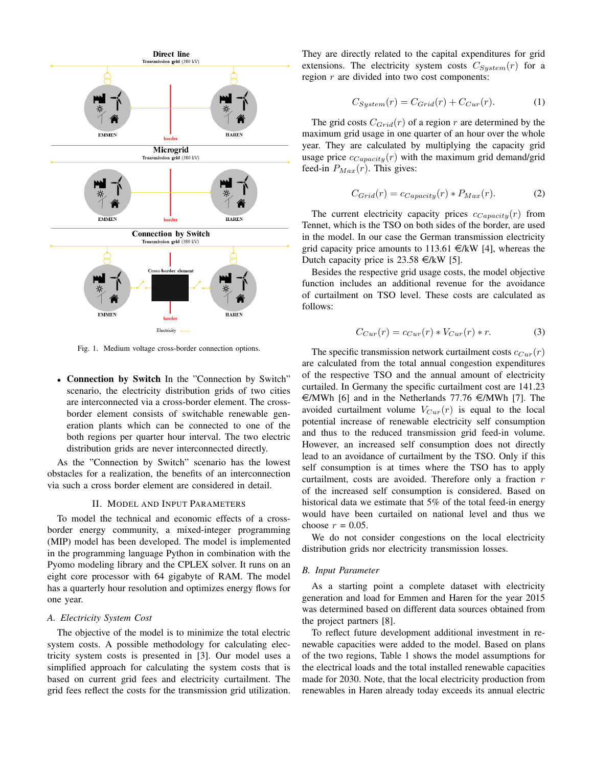

Fig. 1. Medium voltage cross-border connection options.

• Connection by Switch In the "Connection by Switch" scenario, the electricity distribution grids of two cities are interconnected via a cross-border element. The crossborder element consists of switchable renewable generation plants which can be connected to one of the both regions per quarter hour interval. The two electric distribution grids are never interconnected directly.

As the "Connection by Switch" scenario has the lowest obstacles for a realization, the benefits of an interconnection via such a cross border element are considered in detail.

### II. MODEL AND INPUT PARAMETERS

To model the technical and economic effects of a crossborder energy community, a mixed-integer programming (MIP) model has been developed. The model is implemented in the programming language Python in combination with the Pyomo modeling library and the CPLEX solver. It runs on an eight core processor with 64 gigabyte of RAM. The model has a quarterly hour resolution and optimizes energy flows for one year.

## *A. Electricity System Cost*

The objective of the model is to minimize the total electric system costs. A possible methodology for calculating electricity system costs is presented in [3]. Our model uses a simplified approach for calculating the system costs that is based on current grid fees and electricity curtailment. The grid fees reflect the costs for the transmission grid utilization. They are directly related to the capital expenditures for grid extensions. The electricity system costs  $C_{System}(r)$  for a region  $r$  are divided into two cost components:

$$
C_{System}(r) = C_{Grid}(r) + C_{Cur}(r).
$$
 (1)

The grid costs  $C_{Grid}(r)$  of a region r are determined by the maximum grid usage in one quarter of an hour over the whole year. They are calculated by multiplying the capacity grid usage price  $c_{Capacity}(r)$  with the maximum grid demand/grid feed-in  $P_{Max}(r)$ . This gives:

$$
C_{Grid}(r) = c_{Capacity}(r) * P_{Max}(r).
$$
 (2)

The current electricity capacity prices  $c_{Capacity}(r)$  from Tennet, which is the TSO on both sides of the border, are used in the model. In our case the German transmission electricity grid capacity price amounts to 113.61  $\in$ /kW [4], whereas the Dutch capacity price is  $23.58 \in KW$  [5].

Besides the respective grid usage costs, the model objective function includes an additional revenue for the avoidance of curtailment on TSO level. These costs are calculated as follows:

$$
C_{Cur}(r) = c_{Cur}(r) * V_{Cur}(r) * r.
$$
 (3)

The specific transmission network curtailment costs  $c_{Cur}(r)$ are calculated from the total annual congestion expenditures of the respective TSO and the annual amount of electricity curtailed. In Germany the specific curtailment cost are 141.23  $\in$ /MWh [6] and in the Netherlands 77.76  $\in$ /MWh [7]. The avoided curtailment volume  $V_{Cur}(r)$  is equal to the local potential increase of renewable electricity self consumption and thus to the reduced transmission grid feed-in volume. However, an increased self consumption does not directly lead to an avoidance of curtailment by the TSO. Only if this self consumption is at times where the TSO has to apply curtailment, costs are avoided. Therefore only a fraction  $r$ of the increased self consumption is considered. Based on historical data we estimate that 5% of the total feed-in energy would have been curtailed on national level and thus we choose  $r = 0.05$ .

We do not consider congestions on the local electricity distribution grids nor electricity transmission losses.

## *B. Input Parameter*

As a starting point a complete dataset with electricity generation and load for Emmen and Haren for the year 2015 was determined based on different data sources obtained from the project partners [8].

To reflect future development additional investment in renewable capacities were added to the model. Based on plans of the two regions, Table 1 shows the model assumptions for the electrical loads and the total installed renewable capacities made for 2030. Note, that the local electricity production from renewables in Haren already today exceeds its annual electric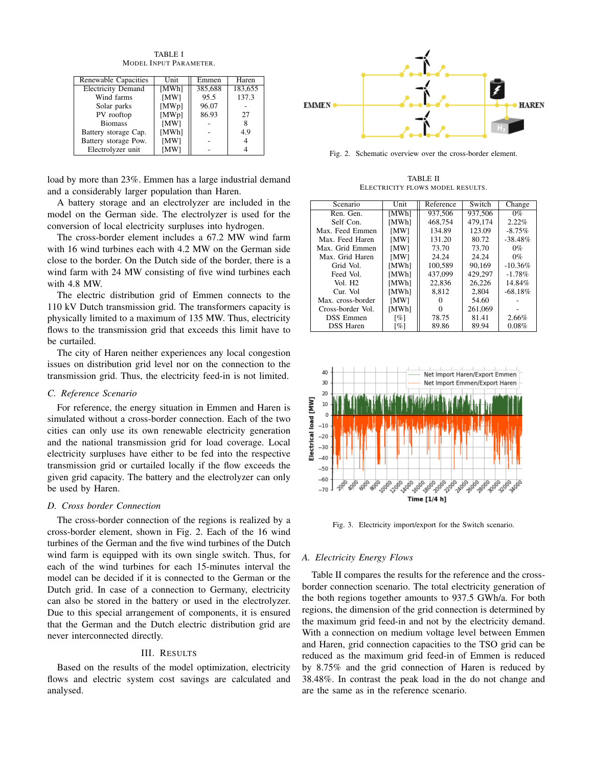TABLE I MODEL INPUT PARAMETER.

| Renewable Capacities      | Unit  | Emmen   | Haren   |
|---------------------------|-------|---------|---------|
| <b>Electricity Demand</b> | [MWh] | 385,688 | 183,655 |
| Wind farms                | [MW]  | 95.5    | 137.3   |
| Solar parks               | [MWp] | 96.07   |         |
| PV rooftop                | [MWp] | 86.93   | 27      |
| <b>Biomass</b>            | [MW]  |         | 8       |
| Battery storage Cap.      | [MWh] |         | 4.9     |
| Battery storage Pow.      | [MW]  |         | 4       |
| Electrolyzer unit         | [MW]  |         |         |

load by more than 23%. Emmen has a large industrial demand and a considerably larger population than Haren.

A battery storage and an electrolyzer are included in the model on the German side. The electrolyzer is used for the conversion of local electricity surpluses into hydrogen.

The cross-border element includes a 67.2 MW wind farm with 16 wind turbines each with 4.2 MW on the German side close to the border. On the Dutch side of the border, there is a wind farm with 24 MW consisting of five wind turbines each with 4.8 MW.

The electric distribution grid of Emmen connects to the 110 kV Dutch transmission grid. The transformers capacity is physically limited to a maximum of 135 MW. Thus, electricity flows to the transmission grid that exceeds this limit have to be curtailed.

The city of Haren neither experiences any local congestion issues on distribution grid level nor on the connection to the transmission grid. Thus, the electricity feed-in is not limited.

## *C. Reference Scenario*

For reference, the energy situation in Emmen and Haren is simulated without a cross-border connection. Each of the two cities can only use its own renewable electricity generation and the national transmission grid for load coverage. Local electricity surpluses have either to be fed into the respective transmission grid or curtailed locally if the flow exceeds the given grid capacity. The battery and the electrolyzer can only be used by Haren.

## *D. Cross border Connection*

The cross-border connection of the regions is realized by a cross-border element, shown in Fig. 2. Each of the 16 wind turbines of the German and the five wind turbines of the Dutch wind farm is equipped with its own single switch. Thus, for each of the wind turbines for each 15-minutes interval the model can be decided if it is connected to the German or the Dutch grid. In case of a connection to Germany, electricity can also be stored in the battery or used in the electrolyzer. Due to this special arrangement of components, it is ensured that the German and the Dutch electric distribution grid are never interconnected directly.

## III. RESULTS

Based on the results of the model optimization, electricity flows and electric system cost savings are calculated and analysed.



Fig. 2. Schematic overview over the cross-border element.

TABLE II ELECTRICITY FLOWS MODEL RESULTS.

| Scenario            | Unit  | Reference | Switch  | Change     |
|---------------------|-------|-----------|---------|------------|
| Ren. Gen.           | [MWh] | 937,506   | 937,506 | $0\%$      |
| Self Con.           | [MWh] | 468,754   | 479,174 | 2.22%      |
| Max. Feed Emmen     | [MW]  | 134.89    | 123.09  | $-8.75\%$  |
| Max. Feed Haren     | [MW]  | 131.20    | 80.72   | $-38.48\%$ |
| Max. Grid Emmen     | [MW]  | 73.70     | 73.70   | $0\%$      |
| Max. Grid Haren     | [MW]  | 24.24     | 24.24   | $0\%$      |
| Grid Vol.           | [MWh] | 100.589   | 90.169  | $-10.36%$  |
| Feed Vol.           | [MWh] | 437,099   | 429,297 | $-1.78%$   |
| Vol. H <sub>2</sub> | [MWh] | 22,836    | 26.226  | 14.84%     |
| Cur. Vol            | [MWh] | 8.812     | 2,804   | $-68.18\%$ |
| Max. cross-border   | [MW]  |           | 54.60   |            |
| Cross-border Vol.   | [MWh] |           | 261,069 |            |
| <b>DSS</b> Emmen    | [%]   | 78.75     | 81.41   | 2.66%      |
| <b>DSS</b> Haren    | [%]   | 89.86     | 89.94   | 0.08%      |



Fig. 3. Electricity import/export for the Switch scenario.

#### *A. Electricity Energy Flows*

Table II compares the results for the reference and the crossborder connection scenario. The total electricity generation of the both regions together amounts to 937.5 GWh/a. For both regions, the dimension of the grid connection is determined by the maximum grid feed-in and not by the electricity demand. With a connection on medium voltage level between Emmen and Haren, grid connection capacities to the TSO grid can be reduced as the maximum grid feed-in of Emmen is reduced by 8.75% and the grid connection of Haren is reduced by 38.48%. In contrast the peak load in the do not change and are the same as in the reference scenario.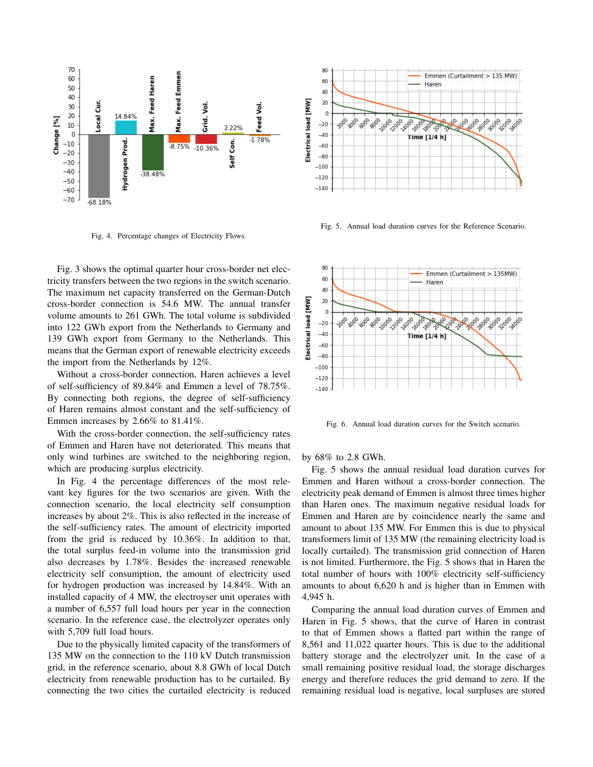

Fig. 4. Percentage changes of Electricity Flows.

Fig. 3 shows the optimal quarter hour cross-border net electricity transfers between the two regions in the switch scenario. The maximum net capacity transferred on the German-Dutch cross-border connection is 54.6 MW. The annual transfer volume amounts to 261 GWh. The total volume is subdivided into 122 GWh export from the Netherlands to Germany and 139 GWh export from Germany to the Netherlands. This means that the German export of renewable electricity exceeds the import from the Netherlands by 12%.

Without a cross-border connection, Haren achieves a level of self-sufficiency of 89.84% and Emmen a level of 78.75%. By connecting both regions, the degree of self-sufficiency of Haren remains almost constant and the self-sufficiency of Emmen increases by 2.66% to 81.41%.

With the cross-border connection, the self-sufficiency rates of Emmen and Haren have not deteriorated. This means that only wind turbines are switched to the neighboring region, which are producing surplus electricity.

In Fig. 4 the percentage differences of the most relevant key figures for the two scenarios are given. With the connection scenario, the local electricity self consumption increases by about 2%. This is also reflected in the increase of the self-sufficiency rates. The amount of electricity imported from the grid is reduced by 10.36%. In addition to that, the total surplus feed-in volume into the transmission grid also decreases by 1.78%. Besides the increased renewable electricity self consumption, the amount of electricity used for hydrogen production was increased by 14.84%. With an installed capacity of 4 MW, the electroyser unit operates with a number of 6,557 full load hours per year in the connection scenario. In the reference case, the electrolyzer operates only with 5,709 full load hours.

Due to the physically limited capacity of the transformers of 135 MW on the connection to the 110 kV Dutch transmission grid, in the reference scenario, about 8.8 GWh of local Dutch electricity from renewable production has to be curtailed. By connecting the two cities the curtailed electricity is reduced



Fig. 5. Annual load duration curves for the Reference Scenario.



Fig. 6. Annual load duration curves for the Switch scenario.

by 68% to 2.8 GWh.

Fig. 5 shows the annual residual load duration curves for Emmen and Haren without a cross-border connection. The electricity peak demand of Emmen is almost three times higher than Haren ones. The maximum negative residual loads for Emmen and Haren are by coincidence nearly the same and amount to about 135 MW. For Emmen this is due to physical transformers limit of 135 MW (the remaining electricity load is locally curtailed). The transmission grid connection of Haren is not limited. Furthermore, the Fig. 5 shows that in Haren the total number of hours with 100% electricity self-sufficiency amounts to about 6,620 h and is higher than in Emmen with 4,945 h.

Comparing the annual load duration curves of Emmen and Haren in Fig. 5 shows, that the curve of Haren in contrast to that of Emmen shows a flatted part within the range of 8,561 and 11,022 quarter hours. This is due to the additional battery storage and the electrolyzer unit. In the case of a small remaining positive residual load, the storage discharges energy and therefore reduces the grid demand to zero. If the remaining residual load is negative, local surpluses are stored